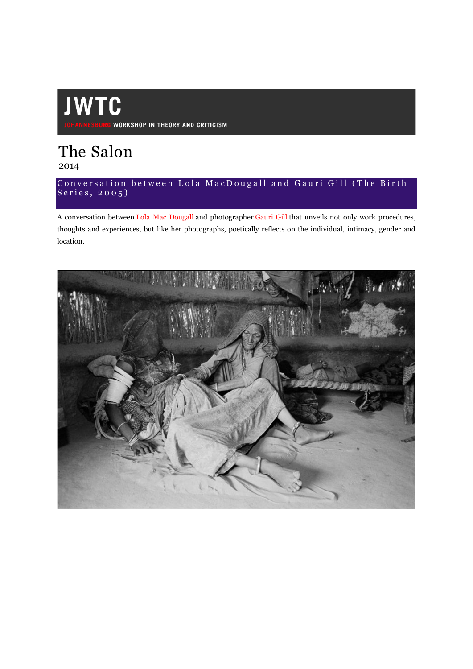# **JWTC** WORKSHOP IN THEORY AND CRITICISM

# The Salon 2014

Conversation between Lola MacDougall and Gauri Gill (The Birth Series, 2005)

A conversation between Lola Mac Dougall and photographer Gauri Gill that unveils not only work procedures, thoughts and experiences, but like her photographs, poetically reflects on the individual, intimacy, gender and location.

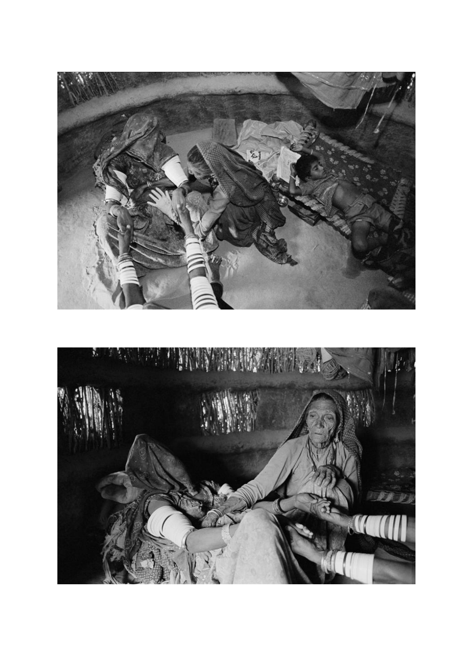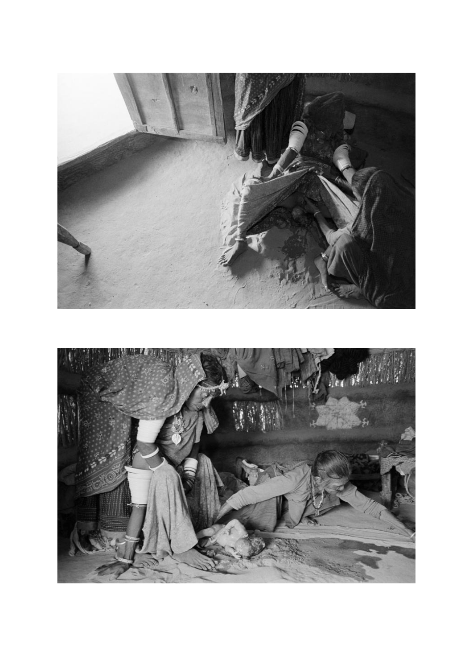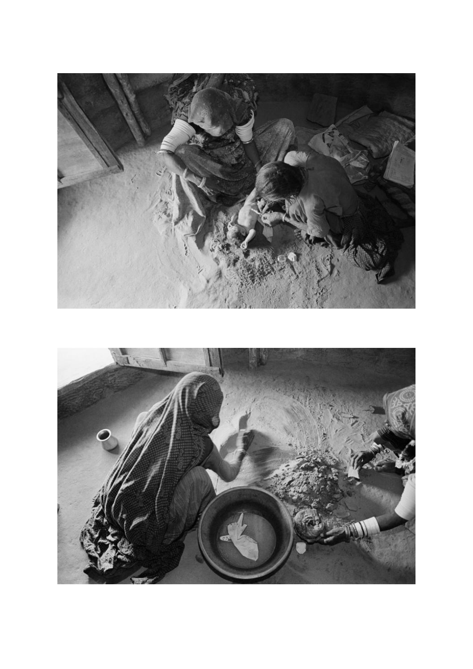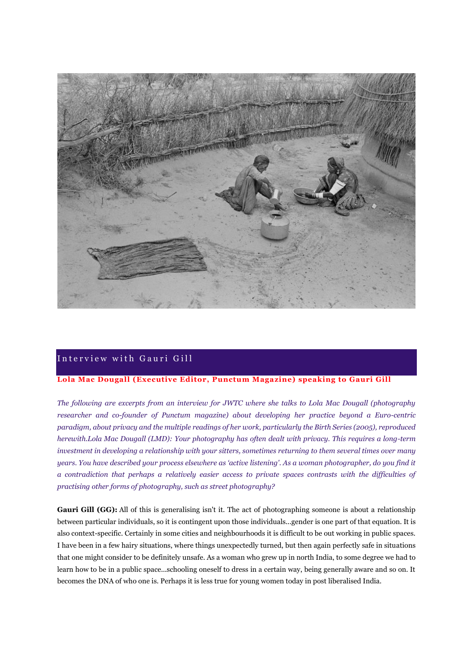![](_page_4_Picture_0.jpeg)

### Interview with Gauri Gill

#### **Lola Mac Dougall (Executive Editor, Punctum Magazine) speaking to Gauri Gill**

*The following are excerpts from an interview for JWTC where she talks to Lola Mac Dougall (photography researcher and co-founder of Punctum magazine) about developing her practice beyond a Euro-centric paradigm, about privacy and the multiple readings of her work, particularly the Birth Series (2005), reproduced herewith.Lola Mac Dougall (LMD): Your photography has often dealt with privacy. This requires a long-term investment in developing a relationship with your sitters, sometimes returning to them several times over many years. You have described your process elsewhere as 'active listening'. As a woman photographer, do you find it a contradiction that perhaps a relatively easier access to private spaces contrasts with the difficulties of practising other forms of photography, such as street photography?*

**Gauri Gill (GG):** All of this is generalising isn't it. The act of photographing someone is about a relationship between particular individuals, so it is contingent upon those individuals...gender is one part of that equation. It is also context-specific. Certainly in some cities and neighbourhoods it is difficult to be out working in public spaces. I have been in a few hairy situations, where things unexpectedly turned, but then again perfectly safe in situations that one might consider to be definitely unsafe. As a woman who grew up in north India, to some degree we had to learn how to be in a public space...schooling oneself to dress in a certain way, being generally aware and so on. It becomes the DNA of who one is. Perhaps it is less true for young women today in post liberalised India.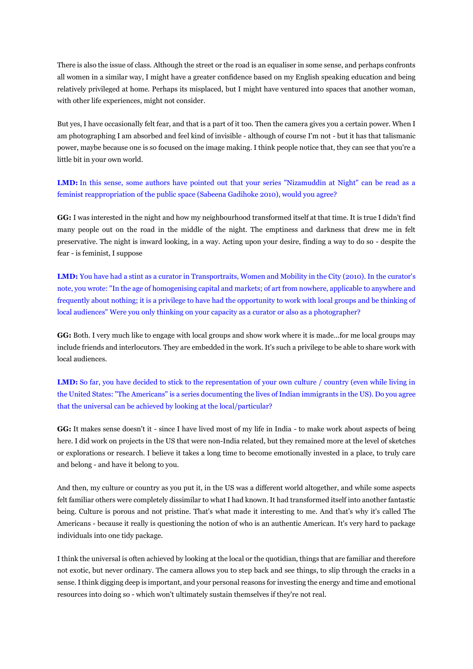There is also the issue of class. Although the street or the road is an equaliser in some sense, and perhaps confronts all women in a similar way, I might have a greater confidence based on my English speaking education and being relatively privileged at home. Perhaps its misplaced, but I might have ventured into spaces that another woman, with other life experiences, might not consider.

But yes, I have occasionally felt fear, and that is a part of it too. Then the camera gives you a certain power. When I am photographing I am absorbed and feel kind of invisible - although of course I'm not - but it has that talismanic power, maybe because one is so focused on the image making. I think people notice that, they can see that you're a little bit in your own world.

**LMD:** In this sense, some authors have pointed out that your series "Nizamuddin at Night" can be read as a feminist reappropriation of the public space (Sabeena Gadihoke 2010), would you agree?

**GG:** I was interested in the night and how my neighbourhood transformed itself at that time. It is true I didn't find many people out on the road in the middle of the night. The emptiness and darkness that drew me in felt preservative. The night is inward looking, in a way. Acting upon your desire, finding a way to do so - despite the fear - is feminist, I suppose

**LMD:** You have had a stint as a curator in Transportraits, Women and Mobility in the City (2010). In the curator's note, you wrote: "In the age of homogenising capital and markets; of art from nowhere, applicable to anywhere and frequently about nothing; it is a privilege to have had the opportunity to work with local groups and be thinking of local audiences" Were you only thinking on your capacity as a curator or also as a photographer?

**GG:** Both. I very much like to engage with local groups and show work where it is made...for me local groups may include friends and interlocutors. They are embedded in the work. It's such a privilege to be able to share work with local audiences.

**LMD:** So far, you have decided to stick to the representation of your own culture / country (even while living in the United States: "The Americans" is a series documenting the lives of Indian immigrants in the US). Do you agree that the universal can be achieved by looking at the local/particular?

**GG:** It makes sense doesn't it - since I have lived most of my life in India - to make work about aspects of being here. I did work on projects in the US that were non-India related, but they remained more at the level of sketches or explorations or research. I believe it takes a long time to become emotionally invested in a place, to truly care and belong - and have it belong to you.

And then, my culture or country as you put it, in the US was a different world altogether, and while some aspects felt familiar others were completely dissimilar to what I had known. It had transformed itself into another fantastic being. Culture is porous and not pristine. That's what made it interesting to me. And that's why it's called The Americans - because it really is questioning the notion of who is an authentic American. It's very hard to package individuals into one tidy package.

I think the universal is often achieved by looking at the local or the quotidian, things that are familiar and therefore not exotic, but never ordinary. The camera allows you to step back and see things, to slip through the cracks in a sense. I think digging deep is important, and your personal reasons for investing the energy and time and emotional resources into doing so - which won't ultimately sustain themselves if they're not real.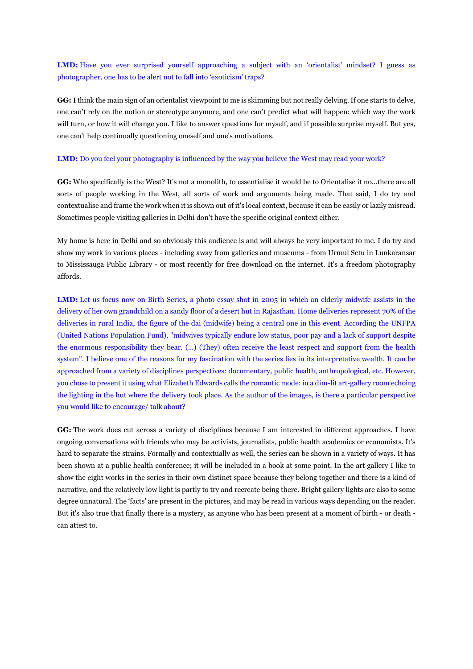## **LMD:** Have you ever surprised yourself approaching a subject with an 'orientalist' mindset? I guess as photographer, one has to be alert not to fall into 'exoticism' traps?

**GG:** I think the main sign of an orientalist viewpoint to me is skimming but not really delving. If one starts to delve, one can't rely on the notion or stereotype anymore, and one can't predict what will happen: which way the work will turn, or how it will change you. I like to answer questions for myself, and if possible surprise myself. But yes, one can't help continually questioning oneself and one's motivations.

#### **LMD:** Do you feel your photography is influenced by the way you believe the West may read your work?

**GG:** Who specifically is the West? It's not a monolith, to essentialise it would be to Orientalise it no...there are all sorts of people working in the West, all sorts of work and arguments being made. That said, I do try and contextualise and frame the work when it is shown out of it's local context, because it can be easily or lazily misread. Sometimes people visiting galleries in Delhi don't have the specific original context either.

My home is here in Delhi and so obviously this audience is and will always be very important to me. I do try and show my work in various places - including away from galleries and museums - from Urmul Setu in Lunkaransar to Mississauga Public Library - or most recently for free download on the internet. It's a freedom photography affords.

**LMD:** Let us focus now on Birth Series, a photo essay shot in 2005 in which an elderly midwife assists in the delivery of her own grandchild on a sandy floor of a desert hut in Rajasthan. Home deliveries represent 70% of the deliveries in rural India, the figure of the dai (midwife) being a central one in this event. According the UNFPA (United Nations Population Fund), "midwives typically endure low status, poor pay and a lack of support despite the enormous responsibility they bear. (...) (They) often receive the least respect and support from the health system". I believe one of the reasons for my fascination with the series lies in its interpretative wealth. It can be approached from a variety of disciplines perspectives: documentary, public health, anthropological, etc. However, you chose to present it using what Elizabeth Edwards calls the romantic mode: in a dim-lit art-gallery room echoing the lighting in the hut where the delivery took place. As the author of the images, is there a particular perspective you would like to encourage/ talk about?

**GG:** The work does cut across a variety of disciplines because I am interested in different approaches. I have ongoing conversations with friends who may be activists, journalists, public health academics or economists. It's hard to separate the strains. Formally and contextually as well, the series can be shown in a variety of ways. It has been shown at a public health conference; it will be included in a book at some point. In the art gallery I like to show the eight works in the series in their own distinct space because they belong together and there is a kind of narrative, and the relatively low light is partly to try and recreate being there. Bright gallery lights are also to some degree unnatural. The 'facts' are present in the pictures, and may be read in various ways depending on the reader. But it's also true that finally there is a mystery, as anyone who has been present at a moment of birth - or death can attest to.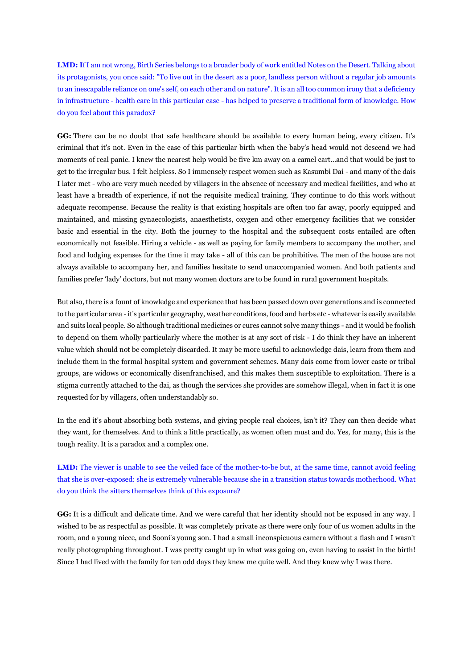**LMD: I**f I am not wrong, Birth Series belongs to a broader body of work entitled Notes on the Desert. Talking about its protagonists, you once said: "To live out in the desert as a poor, landless person without a regular job amounts to an inescapable reliance on one's self, on each other and on nature". It is an all too common irony that a deficiency in infrastructure - health care in this particular case - has helped to preserve a traditional form of knowledge. How do you feel about this paradox?

**GG:** There can be no doubt that safe healthcare should be available to every human being, every citizen. It's criminal that it's not. Even in the case of this particular birth when the baby's head would not descend we had moments of real panic. I knew the nearest help would be five km away on a camel cart...and that would be just to get to the irregular bus. I felt helpless. So I immensely respect women such as Kasumbi Dai - and many of the dais I later met - who are very much needed by villagers in the absence of necessary and medical facilities, and who at least have a breadth of experience, if not the requisite medical training. They continue to do this work without adequate recompense. Because the reality is that existing hospitals are often too far away, poorly equipped and maintained, and missing gynaecologists, anaesthetists, oxygen and other emergency facilities that we consider basic and essential in the city. Both the journey to the hospital and the subsequent costs entailed are often economically not feasible. Hiring a vehicle - as well as paying for family members to accompany the mother, and food and lodging expenses for the time it may take - all of this can be prohibitive. The men of the house are not always available to accompany her, and families hesitate to send unaccompanied women. And both patients and families prefer 'lady' doctors, but not many women doctors are to be found in rural government hospitals.

But also, there is a fount of knowledge and experience that has been passed down over generations and is connected to the particular area -it's particular geography, weather conditions, food and herbs etc - whatever is easily available and suits local people. So although traditional medicines or cures cannot solve many things - and it would be foolish to depend on them wholly particularly where the mother is at any sort of risk - I do think they have an inherent value which should not be completely discarded. It may be more useful to acknowledge dais, learn from them and include them in the formal hospital system and government schemes. Many dais come from lower caste or tribal groups, are widows or economically disenfranchised, and this makes them susceptible to exploitation. There is a stigma currently attached to the dai, as though the services she provides are somehow illegal, when in fact it is one requested for by villagers, often understandably so.

In the end it's about absorbing both systems, and giving people real choices, isn't it? They can then decide what they want, for themselves. And to think a little practically, as women often must and do. Yes, for many, this is the tough reality. It is a paradox and a complex one.

**LMD:** The viewer is unable to see the veiled face of the mother-to-be but, at the same time, cannot avoid feeling that she is over-exposed: she is extremely vulnerable because she in a transition status towards motherhood. What do you think the sitters themselves think of this exposure?

**GG:** It is a difficult and delicate time. And we were careful that her identity should not be exposed in any way. I wished to be as respectful as possible. It was completely private as there were only four of us women adults in the room, and a young niece, and Sooni's young son. I had a small inconspicuous camera without a flash and I wasn't really photographing throughout. I was pretty caught up in what was going on, even having to assist in the birth! Since I had lived with the family for ten odd days they knew me quite well. And they knew why I was there.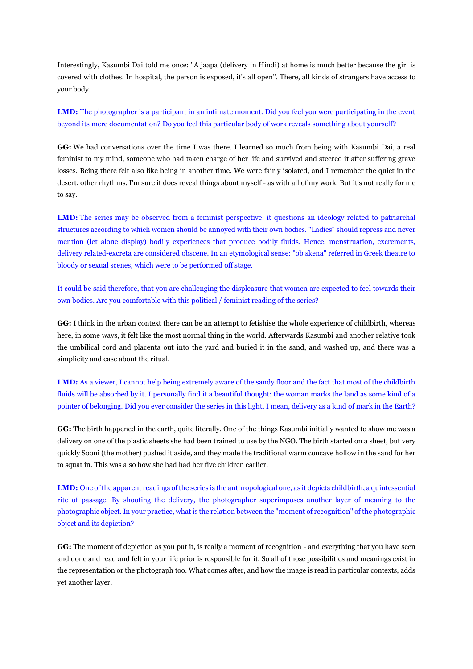Interestingly, Kasumbi Dai told me once: "A jaapa (delivery in Hindi) at home is much better because the girl is covered with clothes. In hospital, the person is exposed, it's all open". There, all kinds of strangers have access to your body.

**LMD:** The photographer is a participant in an intimate moment. Did you feel you were participating in the event beyond its mere documentation? Do you feel this particular body of work reveals something about yourself?

**GG:** We had conversations over the time I was there. I learned so much from being with Kasumbi Dai, a real feminist to my mind, someone who had taken charge of her life and survived and steered it after suffering grave losses. Being there felt also like being in another time. We were fairly isolated, and I remember the quiet in the desert, other rhythms. I'm sure it does reveal things about myself - as with all of my work. But it's not really for me to say.

**LMD:** The series may be observed from a feminist perspective: it questions an ideology related to patriarchal structures according to which women should be annoyed with their own bodies. "Ladies" should repress and never mention (let alone display) bodily experiences that produce bodily fluids. Hence, menstruation, excrements, delivery related-excreta are considered obscene. In an etymological sense: "ob skena" referred in Greek theatre to bloody or sexual scenes, which were to be performed off stage.

It could be said therefore, that you are challenging the displeasure that women are expected to feel towards their own bodies. Are you comfortable with this political / feminist reading of the series?

**GG:** I think in the urban context there can be an attempt to fetishise the whole experience of childbirth, whereas here, in some ways, it felt like the most normal thing in the world. Afterwards Kasumbi and another relative took the umbilical cord and placenta out into the yard and buried it in the sand, and washed up, and there was a simplicity and ease about the ritual.

**LMD:** As a viewer, I cannot help being extremely aware of the sandy floor and the fact that most of the childbirth fluids will be absorbed by it. I personally find it a beautiful thought: the woman marks the land as some kind of a pointer of belonging. Did you ever consider the series in this light, I mean, delivery as a kind of mark in the Earth?

**GG:** The birth happened in the earth, quite literally. One of the things Kasumbi initially wanted to show me was a delivery on one of the plastic sheets she had been trained to use by the NGO. The birth started on a sheet, but very quickly Sooni (the mother) pushed it aside, and they made the traditional warm concave hollow in the sand for her to squat in. This was also how she had had her five children earlier.

**LMD:** One of the apparent readings of the series is the anthropological one, as it depicts childbirth, a quintessential rite of passage. By shooting the delivery, the photographer superimposes another layer of meaning to the photographic object. In your practice, what is the relation between the "moment of recognition" of the photographic object and its depiction?

**GG:** The moment of depiction as you put it, is really a moment of recognition - and everything that you have seen and done and read and felt in your life prior is responsible for it. So all of those possibilities and meanings exist in the representation or the photograph too. What comes after, and how the image is read in particular contexts, adds yet another layer.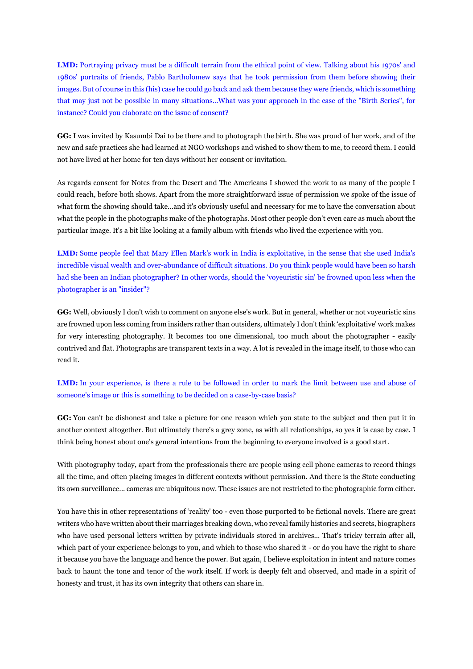**LMD:** Portraying privacy must be a difficult terrain from the ethical point of view. Talking about his 1970s' and 1980s' portraits of friends, Pablo Bartholomew says that he took permission from them before showing their images. But of course in this (his) case he could go back and ask them because they were friends, which is something that may just not be possible in many situations...What was your approach in the case of the "Birth Series", for instance? Could you elaborate on the issue of consent?

**GG:** I was invited by Kasumbi Dai to be there and to photograph the birth. She was proud of her work, and of the new and safe practices she had learned at NGO workshops and wished to show them to me, to record them. I could not have lived at her home for ten days without her consent or invitation.

As regards consent for Notes from the Desert and The Americans I showed the work to as many of the people I could reach, before both shows. Apart from the more straightforward issue of permission we spoke of the issue of what form the showing should take...and it's obviously useful and necessary for me to have the conversation about what the people in the photographs make of the photographs. Most other people don't even care as much about the particular image. It's a bit like looking at a family album with friends who lived the experience with you.

**LMD:** Some people feel that Mary Ellen Mark's work in India is exploitative, in the sense that she used India's incredible visual wealth and over-abundance of difficult situations. Do you think people would have been so harsh had she been an Indian photographer? In other words, should the 'voyeuristic sin' be frowned upon less when the photographer is an "insider"?

**GG:** Well, obviously I don't wish to comment on anyone else's work. But in general, whether or not voyeuristic sins are frowned upon less coming from insiders rather than outsiders, ultimately I don't think 'exploitative' work makes for very interesting photography. It becomes too one dimensional, too much about the photographer - easily contrived and flat. Photographs are transparent texts in a way. A lot is revealed in the image itself, to those who can read it.

**LMD:** In your experience, is there a rule to be followed in order to mark the limit between use and abuse of someone's image or this is something to be decided on a case-by-case basis?

**GG:** You can't be dishonest and take a picture for one reason which you state to the subject and then put it in another context altogether. But ultimately there's a grey zone, as with all relationships, so yes it is case by case. I think being honest about one's general intentions from the beginning to everyone involved is a good start.

With photography today, apart from the professionals there are people using cell phone cameras to record things all the time, and often placing images in different contexts without permission. And there is the State conducting its own surveillance... cameras are ubiquitous now. These issues are not restricted to the photographic form either.

You have this in other representations of 'reality' too - even those purported to be fictional novels. There are great writers who have written about their marriages breaking down, who reveal family histories and secrets, biographers who have used personal letters written by private individuals stored in archives... That's tricky terrain after all, which part of your experience belongs to you, and which to those who shared it - or do you have the right to share it because you have the language and hence the power. But again, I believe exploitation in intent and nature comes back to haunt the tone and tenor of the work itself. If work is deeply felt and observed, and made in a spirit of honesty and trust, it has its own integrity that others can share in.